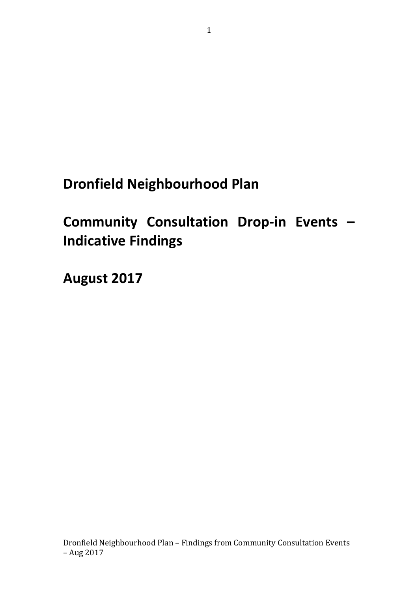**Dronfield Neighbourhood Plan** 

**Community Consultation Drop-in Events – Indicative Findings**

**August 2017**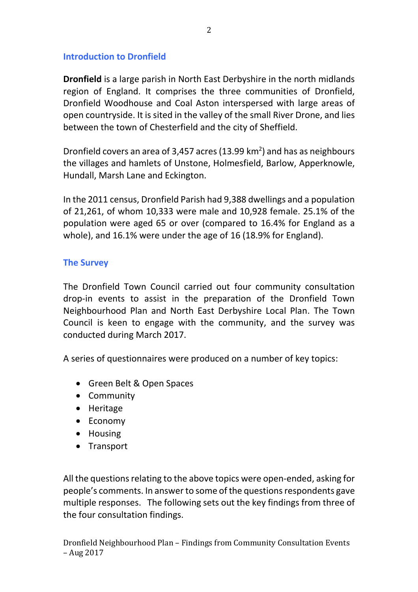## **Introduction to Dronfield**

**Dronfield** is a large parish in [North East Derbyshire](https://en.wikipedia.org/wiki/North_East_Derbyshire) in the north midlands region of [England.](https://en.wikipedia.org/wiki/England) It comprises the three communities of Dronfield, [Dronfield Woodhouse](https://en.wikipedia.org/wiki/Dronfield_Woodhouse) and [Coal Aston](https://en.wikipedia.org/wiki/Coal_Aston) interspersed with large areas of open countryside. It is sited in the valley of the small [River Drone,](https://en.wikipedia.org/wiki/River_Drone) and lies between the town of [Chesterfield](https://en.wikipedia.org/wiki/Chesterfield) and the city of [Sheffield.](https://en.wikipedia.org/wiki/Sheffield)

Dronfield covers an area of 3,457 acres (13.99 km<sup>2</sup>) and has as neighbours the villages and [hamlets](https://en.wikipedia.org/wiki/Hamlet_(place)) of Unstone, [Holmesfield,](https://en.wikipedia.org/wiki/Holmesfield) [Barlow,](https://en.wikipedia.org/wiki/Barlow,_Derbyshire) [Apperknowle,](https://en.wikipedia.org/wiki/Apperknowle) Hundall, Marsh Lane and [Eckington.](https://en.wikipedia.org/wiki/Eckington,_Derbyshire)

In the [2011 census,](https://en.wikipedia.org/wiki/United_Kingdom_Census_2011) Dronfield Parish had 9,388 dwellings and a population of 21,261, of whom 10,333 were male and 10,928 female. 25.1% of the population were aged 65 or over (compared to 16.4% for England as a whole), and 16.1% were under the age of 16 (18.9% for England).

#### **The Survey**

The Dronfield Town Council carried out four community consultation drop-in events to assist in the preparation of the Dronfield Town Neighbourhood Plan and North East Derbyshire Local Plan. The Town Council is keen to engage with the community, and the survey was conducted during March 2017.

A series of questionnaires were produced on a number of key topics:

- Green Belt & Open Spaces
- Community
- Heritage
- Economy
- Housing
- Transport

All the questions relating to the above topics were open-ended, asking for people's comments. In answer to some of the questionsrespondents gave multiple responses. The following sets out the key findings from three of the four consultation findings.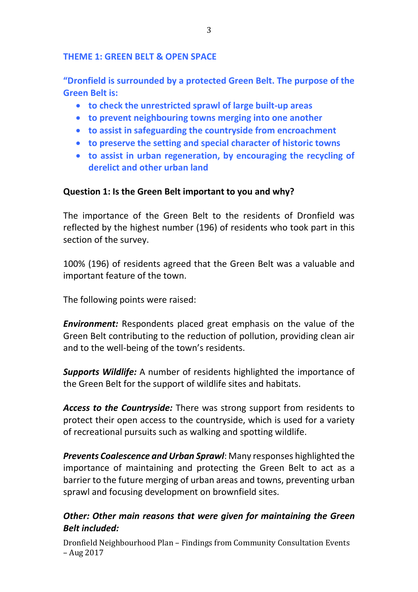### **THEME 1: GREEN BELT & OPEN SPACE**

**"Dronfield is surrounded by a protected Green Belt. The purpose of the Green Belt is:**

- **to check the unrestricted sprawl of large built-up areas**
- **to prevent neighbouring towns merging into one another**
- **to assist in safeguarding the countryside from encroachment**
- **to preserve the setting and special character of historic towns**
- **to assist in urban regeneration, by encouraging the recycling of derelict and other urban land**

### **Question 1: Is the Green Belt important to you and why?**

The importance of the Green Belt to the residents of Dronfield was reflected by the highest number (196) of residents who took part in this section of the survey.

100% (196) of residents agreed that the Green Belt was a valuable and important feature of the town.

The following points were raised:

*Environment:* Respondents placed great emphasis on the value of the Green Belt contributing to the reduction of pollution, providing clean air and to the well-being of the town's residents.

*Supports Wildlife:* A number of residents highlighted the importance of the Green Belt for the support of wildlife sites and habitats.

*Access to the Countryside:* There was strong support from residents to protect their open access to the countryside, which is used for a variety of recreational pursuits such as walking and spotting wildlife.

*Prevents Coalescence and Urban Sprawl*: Many responses highlighted the importance of maintaining and protecting the Green Belt to act as a barrier to the future merging of urban areas and towns, preventing urban sprawl and focusing development on brownfield sites.

# *Other: Other main reasons that were given for maintaining the Green Belt included:*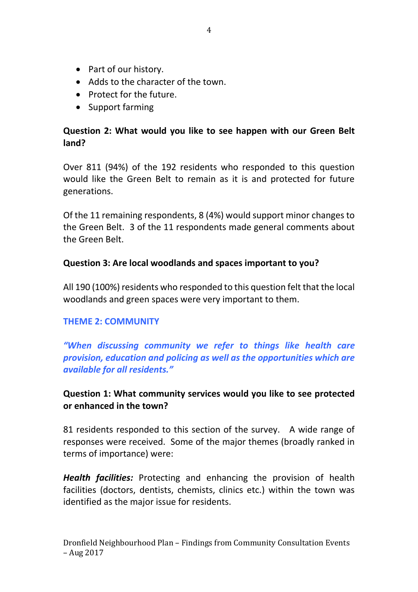- Part of our history.
- Adds to the character of the town.
- Protect for the future.
- Support farming

# **Question 2: What would you like to see happen with our Green Belt land?**

Over 811 (94%) of the 192 residents who responded to this question would like the Green Belt to remain as it is and protected for future generations.

Of the 11 remaining respondents, 8 (4%) would support minor changes to the Green Belt. 3 of the 11 respondents made general comments about the Green Belt.

### **Question 3: Are local woodlands and spaces important to you?**

All 190 (100%) residents who responded to this question felt that the local woodlands and green spaces were very important to them.

### **THEME 2: COMMUNITY**

*"When discussing community we refer to things like health care provision, education and policing as well as the opportunities which are available for all residents."*

# **Question 1: What community services would you like to see protected or enhanced in the town?**

81 residents responded to this section of the survey. A wide range of responses were received. Some of the major themes (broadly ranked in terms of importance) were:

*Health facilities:* Protecting and enhancing the provision of health facilities (doctors, dentists, chemists, clinics etc.) within the town was identified as the major issue for residents.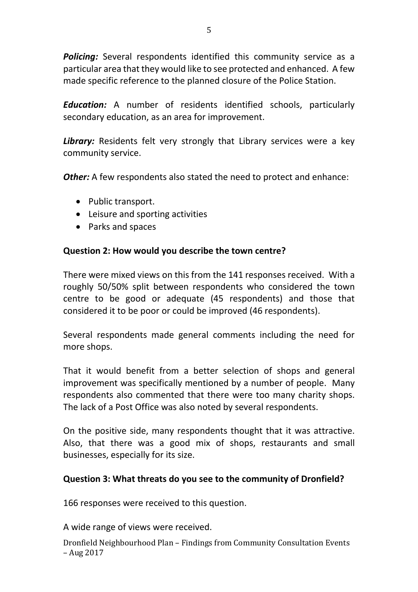*Policing:* Several respondents identified this community service as a particular area that they would like to see protected and enhanced. A few made specific reference to the planned closure of the Police Station.

*Education:* A number of residents identified schools, particularly secondary education, as an area for improvement.

Library: Residents felt very strongly that Library services were a key community service.

**Other:** A few respondents also stated the need to protect and enhance:

- Public transport.
- Leisure and sporting activities
- Parks and spaces

### **Question 2: How would you describe the town centre?**

There were mixed views on this from the 141 responses received. With a roughly 50/50% split between respondents who considered the town centre to be good or adequate (45 respondents) and those that considered it to be poor or could be improved (46 respondents).

Several respondents made general comments including the need for more shops.

That it would benefit from a better selection of shops and general improvement was specifically mentioned by a number of people. Many respondents also commented that there were too many charity shops. The lack of a Post Office was also noted by several respondents.

On the positive side, many respondents thought that it was attractive. Also, that there was a good mix of shops, restaurants and small businesses, especially for its size.

### **Question 3: What threats do you see to the community of Dronfield?**

166 responses were received to this question.

A wide range of views were received.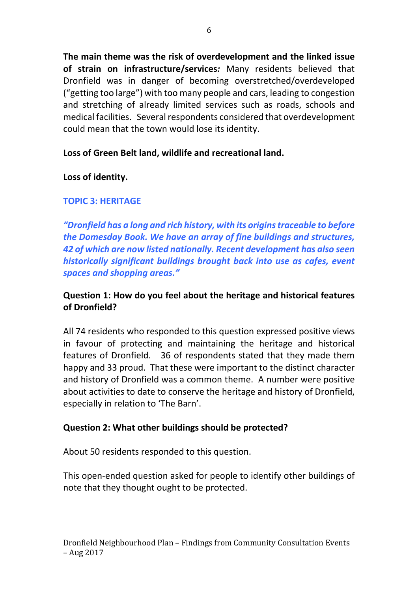**The main theme was the risk of overdevelopment and the linked issue of strain on infrastructure/services***:* Many residents believed that Dronfield was in danger of becoming overstretched/overdeveloped ("getting too large") with too many people and cars, leading to congestion and stretching of already limited services such as roads, schools and medical facilities. Several respondents considered that overdevelopment could mean that the town would lose its identity.

# **Loss of Green Belt land, wildlife and recreational land.**

## **Loss of identity.**

# **TOPIC 3: HERITAGE**

*"Dronfield has a long and rich history, with its origins traceable to before the Domesday Book. We have an array of fine buildings and structures, 42 of which are now listed nationally. Recent development has also seen historically significant buildings brought back into use as cafes, event spaces and shopping areas."*

# **Question 1: How do you feel about the heritage and historical features of Dronfield?**

All 74 residents who responded to this question expressed positive views in favour of protecting and maintaining the heritage and historical features of Dronfield. 36 of respondents stated that they made them happy and 33 proud. That these were important to the distinct character and history of Dronfield was a common theme. A number were positive about activities to date to conserve the heritage and history of Dronfield, especially in relation to 'The Barn'.

### **Question 2: What other buildings should be protected?**

About 50 residents responded to this question.

This open-ended question asked for people to identify other buildings of note that they thought ought to be protected.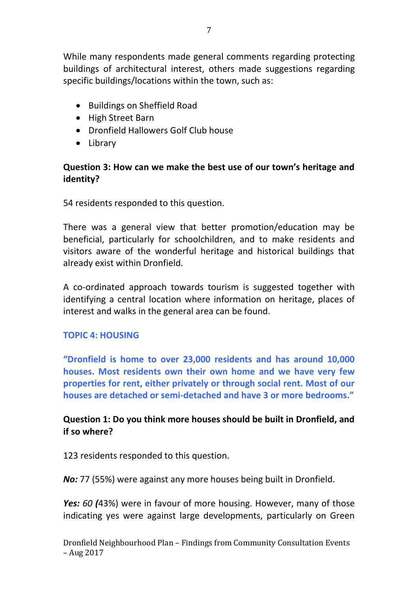While many respondents made general comments regarding protecting buildings of architectural interest, others made suggestions regarding specific buildings/locations within the town, such as:

- Buildings on Sheffield Road
- High Street Barn
- Dronfield Hallowers Golf Club house
- Library

## **Question 3: How can we make the best use of our town's heritage and identity?**

54 residents responded to this question.

There was a general view that better promotion/education may be beneficial, particularly for schoolchildren, and to make residents and visitors aware of the wonderful heritage and historical buildings that already exist within Dronfield.

A co-ordinated approach towards tourism is suggested together with identifying a central location where information on heritage, places of interest and walks in the general area can be found.

### **TOPIC 4: HOUSING**

**"Dronfield is home to over 23,000 residents and has around 10,000 houses. Most residents own their own home and we have very few properties for rent, either privately or through social rent. Most of our houses are detached or semi-detached and have 3 or more bedrooms."**

## **Question 1: Do you think more houses should be built in Dronfield, and if so where?**

123 residents responded to this question.

*No:* 77 (55%) were against any more houses being built in Dronfield.

*Yes: 60 (*43%) were in favour of more housing. However, many of those indicating yes were against large developments, particularly on Green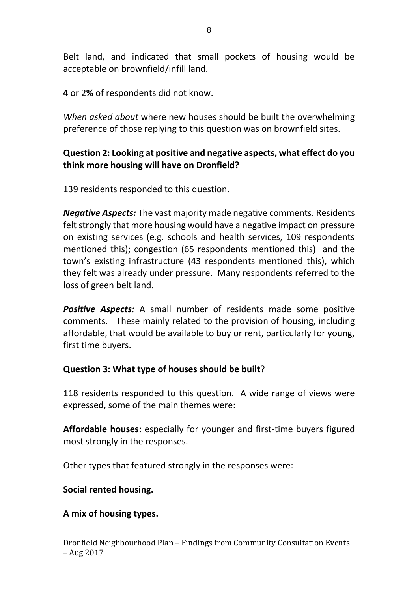Belt land, and indicated that small pockets of housing would be acceptable on brownfield/infill land.

**4** or 2**%** of respondents did not know.

*When asked about* where new houses should be built the overwhelming preference of those replying to this question was on brownfield sites.

## **Question 2: Looking at positive and negative aspects, what effect do you think more housing will have on Dronfield?**

139 residents responded to this question.

*Negative Aspects:* The vast majority made negative comments. Residents felt strongly that more housing would have a negative impact on pressure on existing services (e.g. schools and health services, 109 respondents mentioned this); congestion (65 respondents mentioned this) and the town's existing infrastructure (43 respondents mentioned this), which they felt was already under pressure. Many respondents referred to the loss of green belt land.

**Positive Aspects:** A small number of residents made some positive comments. These mainly related to the provision of housing, including affordable, that would be available to buy or rent, particularly for young, first time buyers.

### **Question 3: What type of houses should be built**?

118 residents responded to this question. A wide range of views were expressed, some of the main themes were:

**Affordable houses:** especially for younger and first-time buyers figured most strongly in the responses.

Other types that featured strongly in the responses were:

**Social rented housing.**

**A mix of housing types.**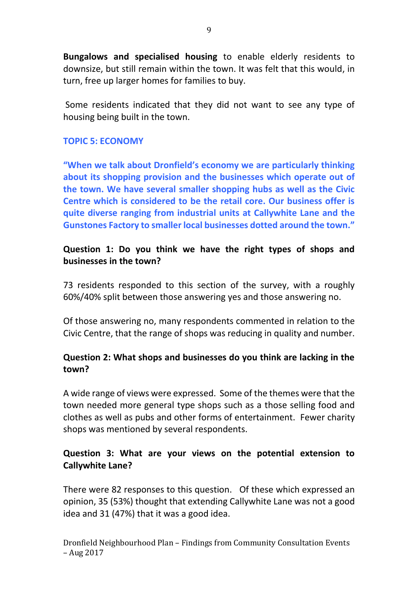**Bungalows and specialised housing** to enable elderly residents to downsize, but still remain within the town. It was felt that this would, in turn, free up larger homes for families to buy.

Some residents indicated that they did not want to see any type of housing being built in the town.

#### **TOPIC 5: ECONOMY**

**"When we talk about Dronfield's economy we are particularly thinking about its shopping provision and the businesses which operate out of the town. We have several smaller shopping hubs as well as the Civic Centre which is considered to be the retail core. Our business offer is quite diverse ranging from industrial units at Callywhite Lane and the Gunstones Factory to smaller local businesses dotted around the town."**

### **Question 1: Do you think we have the right types of shops and businesses in the town?**

73 residents responded to this section of the survey, with a roughly 60%/40% split between those answering yes and those answering no.

Of those answering no, many respondents commented in relation to the Civic Centre, that the range of shops was reducing in quality and number.

## **Question 2: What shops and businesses do you think are lacking in the town?**

A wide range of views were expressed. Some of the themes were that the town needed more general type shops such as a those selling food and clothes as well as pubs and other forms of entertainment. Fewer charity shops was mentioned by several respondents.

## **Question 3: What are your views on the potential extension to Callywhite Lane?**

There were 82 responses to this question. Of these which expressed an opinion, 35 (53%) thought that extending Callywhite Lane was not a good idea and 31 (47%) that it was a good idea.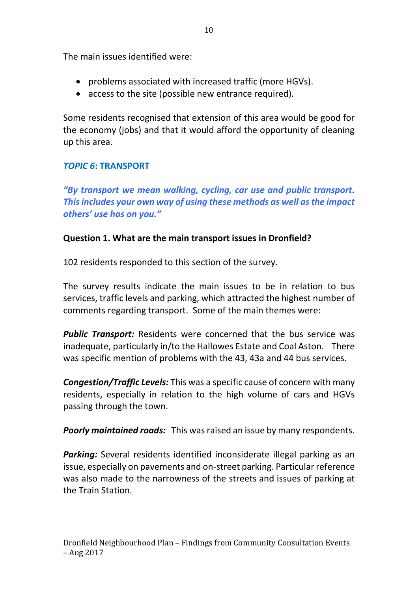The main issues identified were:

- problems associated with increased traffic (more HGVs).
- access to the site (possible new entrance required).

Some residents recognised that extension of this area would be good for the economy (jobs) and that it would afford the opportunity of cleaning up this area.

# *TOPIC 6***: TRANSPORT**

*"By transport we mean walking, cycling, car use and public transport. This includes your own way of using these methods as well as the impact others' use has on you."*

# **Question 1. What are the main transport issues in Dronfield?**

102 residents responded to this section of the survey.

The survey results indicate the main issues to be in relation to bus services, traffic levels and parking, which attracted the highest number of comments regarding transport. Some of the main themes were:

**Public Transport:** Residents were concerned that the bus service was inadequate, particularly in/to the Hallowes Estate and Coal Aston. There was specific mention of problems with the 43, 43a and 44 bus services.

*Congestion/Traffic Levels:* This was a specific cause of concern with many residents, especially in relation to the high volume of cars and HGVs passing through the town.

*Poorly maintained roads:* This was raised an issue by many respondents.

**Parking:** Several residents identified inconsiderate illegal parking as an issue, especially on pavements and on-street parking. Particular reference was also made to the narrowness of the streets and issues of parking at the Train Station.